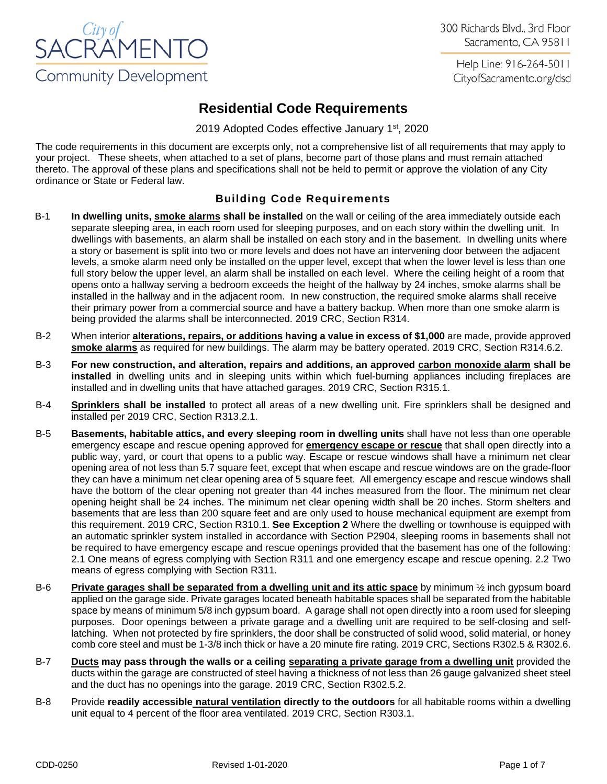

300 Richards Blvd., 3rd Floor Sacramento, CA 95811

Help Line: 916-264-5011 CityofSacramento.org/dsd

# **Residential Code Requirements**

2019 Adopted Codes effective January 1<sup>st</sup>, 2020

The code requirements in this document are excerpts only, not a comprehensive list of all requirements that may apply to your project. These sheets, when attached to a set of plans, become part of those plans and must remain attached thereto. The approval of these plans and specifications shall not be held to permit or approve the violation of any City ordinance or State or Federal law.

# **Building Code Requirements**

- B-1 **In dwelling units, smoke alarms shall be installed** on the wall or ceiling of the area immediately outside each separate sleeping area, in each room used for sleeping purposes, and on each story within the dwelling unit. In dwellings with basements, an alarm shall be installed on each story and in the basement. In dwelling units where a story or basement is split into two or more levels and does not have an intervening door between the adjacent levels, a smoke alarm need only be installed on the upper level, except that when the lower level is less than one full story below the upper level, an alarm shall be installed on each level. Where the ceiling height of a room that opens onto a hallway serving a bedroom exceeds the height of the hallway by 24 inches, smoke alarms shall be installed in the hallway and in the adjacent room. In new construction, the required smoke alarms shall receive their primary power from a commercial source and have a battery backup. When more than one smoke alarm is being provided the alarms shall be interconnected. 2019 CRC, Section R314.
- B-2 When interior **alterations, repairs, or additions having a value in excess of \$1,000** are made, provide approved **smoke alarms** as required for new buildings. The alarm may be battery operated. 2019 CRC, Section R314.6.2.
- B-3 **For new construction, and alteration, repairs and additions, an approved carbon monoxide alarm shall be installed** in dwelling units and in sleeping units within which fuel-burning appliances including fireplaces are installed and in dwelling units that have attached garages. 2019 CRC, Section R315.1.
- B-4 **Sprinklers shall be installed** to protect all areas of a new dwelling unit*.* Fire sprinklers shall be designed and installed per 2019 CRC, Section R313.2.1.
- B-5 **Basements, habitable attics, and every sleeping room in dwelling units** shall have not less than one operable emergency escape and rescue opening approved for **emergency escape or rescue** that shall open directly into a public way, yard, or court that opens to a public way. Escape or rescue windows shall have a minimum net clear opening area of not less than 5.7 square feet, except that when escape and rescue windows are on the grade-floor they can have a minimum net clear opening area of 5 square feet. All emergency escape and rescue windows shall have the bottom of the clear opening not greater than 44 inches measured from the floor. The minimum net clear opening height shall be 24 inches. The minimum net clear opening width shall be 20 inches. Storm shelters and basements that are less than 200 square feet and are only used to house mechanical equipment are exempt from this requirement. 2019 CRC, Section R310.1. **See Exception 2** Where the dwelling or townhouse is equipped with an automatic sprinkler system installed in accordance with Section P2904, sleeping rooms in basements shall not be required to have emergency escape and rescue openings provided that the basement has one of the following: 2.1 One means of egress complying with Section R311 and one emergency escape and rescue opening. 2.2 Two means of egress complying with Section R311.
- B-6 **Private garages shall be separated from a dwelling unit and its attic space** by minimum ½ inch gypsum board applied on the garage side. Private garages located beneath habitable spaces shall be separated from the habitable space by means of minimum 5/8 inch gypsum board. A garage shall not open directly into a room used for sleeping purposes. Door openings between a private garage and a dwelling unit are required to be self-closing and selflatching. When not protected by fire sprinklers, the door shall be constructed of solid wood, solid material, or honey comb core steel and must be 1-3/8 inch thick or have a 20 minute fire rating. 2019 CRC, Sections R302.5 & R302.6.
- B-7 **Ducts may pass through the walls or a ceiling separating a private garage from a dwelling unit** provided the ducts within the garage are constructed of steel having a thickness of not less than 26 gauge galvanized sheet steel and the duct has no openings into the garage. 2019 CRC, Section R302.5.2.
- B-8 Provide **readily accessible natural ventilation directly to the outdoors** for all habitable rooms within a dwelling unit equal to 4 percent of the floor area ventilated. 2019 CRC, Section R303.1.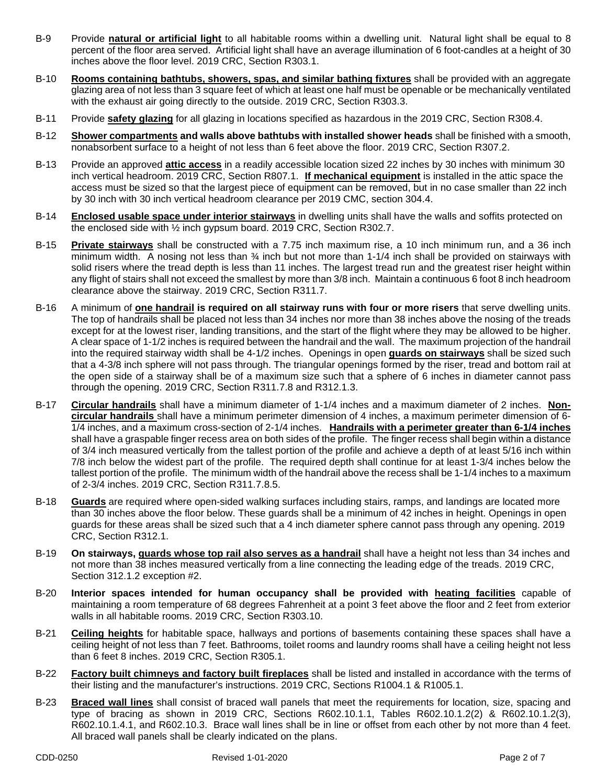- B-9 Provide **natural or artificial light** to all habitable rooms within a dwelling unit. Natural light shall be equal to 8 percent of the floor area served. Artificial light shall have an average illumination of 6 foot-candles at a height of 30 inches above the floor level. 2019 CRC, Section R303.1.
- B-10 **Rooms containing bathtubs, showers, spas, and similar bathing fixtures** shall be provided with an aggregate glazing area of not less than 3 square feet of which at least one half must be openable or be mechanically ventilated with the exhaust air going directly to the outside. 2019 CRC, Section R303.3.
- B-11 Provide **safety glazing** for all glazing in locations specified as hazardous in the 2019 CRC, Section R308.4.
- B-12 **Shower compartments and walls above bathtubs with installed shower heads** shall be finished with a smooth, nonabsorbent surface to a height of not less than 6 feet above the floor. 2019 CRC, Section R307.2.
- B-13 Provide an approved **attic access** in a readily accessible location sized 22 inches by 30 inches with minimum 30 inch vertical headroom. 2019 CRC, Section R807.1. **If mechanical equipment** is installed in the attic space the access must be sized so that the largest piece of equipment can be removed, but in no case smaller than 22 inch by 30 inch with 30 inch vertical headroom clearance per 2019 CMC, section 304.4.
- B-14 **Enclosed usable space under interior stairways** in dwelling units shall have the walls and soffits protected on the enclosed side with ½ inch gypsum board. 2019 CRC, Section R302.7.
- B-15 **Private stairways** shall be constructed with a 7.75 inch maximum rise, a 10 inch minimum run, and a 36 inch minimum width. A nosing not less than ¾ inch but not more than 1-1/4 inch shall be provided on stairways with solid risers where the tread depth is less than 11 inches. The largest tread run and the greatest riser height within any flight of stairs shall not exceed the smallest by more than 3/8 inch. Maintain a continuous 6 foot 8 inch headroom clearance above the stairway. 2019 CRC, Section R311.7.
- B-16 A minimum of **one handrail is required on all stairway runs with four or more risers** that serve dwelling units. The top of handrails shall be placed not less than 34 inches nor more than 38 inches above the nosing of the treads except for at the lowest riser, landing transitions, and the start of the flight where they may be allowed to be higher. A clear space of 1-1/2 inches is required between the handrail and the wall. The maximum projection of the handrail into the required stairway width shall be 4-1/2 inches. Openings in open **guards on stairways** shall be sized such that a 4-3/8 inch sphere will not pass through. The triangular openings formed by the riser, tread and bottom rail at the open side of a stairway shall be of a maximum size such that a sphere of 6 inches in diameter cannot pass through the opening. 2019 CRC, Section R311.7.8 and R312.1.3.
- B-17 **Circular handrails** shall have a minimum diameter of 1-1/4 inches and a maximum diameter of 2 inches. **Noncircular handrails** shall have a minimum perimeter dimension of 4 inches, a maximum perimeter dimension of 6- 1/4 inches, and a maximum cross-section of 2-1/4 inches. **Handrails with a perimeter greater than 6-1/4 inches**  shall have a graspable finger recess area on both sides of the profile. The finger recess shall begin within a distance of 3/4 inch measured vertically from the tallest portion of the profile and achieve a depth of at least 5/16 inch within 7/8 inch below the widest part of the profile. The required depth shall continue for at least 1-3/4 inches below the tallest portion of the profile. The minimum width of the handrail above the recess shall be 1-1/4 inches to a maximum of 2-3/4 inches. 2019 CRC, Section R311.7.8.5.
- B-18 **Guards** are required where open-sided walking surfaces including stairs, ramps, and landings are located more than 30 inches above the floor below. These guards shall be a minimum of 42 inches in height. Openings in open guards for these areas shall be sized such that a 4 inch diameter sphere cannot pass through any opening. 2019 CRC, Section R312.1.
- B-19 **On stairways, guards whose top rail also serves as a handrail** shall have a height not less than 34 inches and not more than 38 inches measured vertically from a line connecting the leading edge of the treads. 2019 CRC, Section 312.1.2 exception #2.
- B-20 **Interior spaces intended for human occupancy shall be provided with heating facilities** capable of maintaining a room temperature of 68 degrees Fahrenheit at a point 3 feet above the floor and 2 feet from exterior walls in all habitable rooms. 2019 CRC, Section R303.10.
- B-21 **Ceiling heights** for habitable space, hallways and portions of basements containing these spaces shall have a ceiling height of not less than 7 feet. Bathrooms, toilet rooms and laundry rooms shall have a ceiling height not less than 6 feet 8 inches. 2019 CRC, Section R305.1.
- B-22 **Factory built chimneys and factory built fireplaces** shall be listed and installed in accordance with the terms of their listing and the manufacturer's instructions. 2019 CRC, Sections R1004.1 & R1005.1.
- B-23 **Braced wall lines** shall consist of braced wall panels that meet the requirements for location, size, spacing and type of bracing as shown in 2019 CRC, Sections R602.10.1.1, Tables R602.10.1.2(2) & R602.10.1.2(3), R602.10.1.4.1, and R602.10.3. Brace wall lines shall be in line or offset from each other by not more than 4 feet. All braced wall panels shall be clearly indicated on the plans.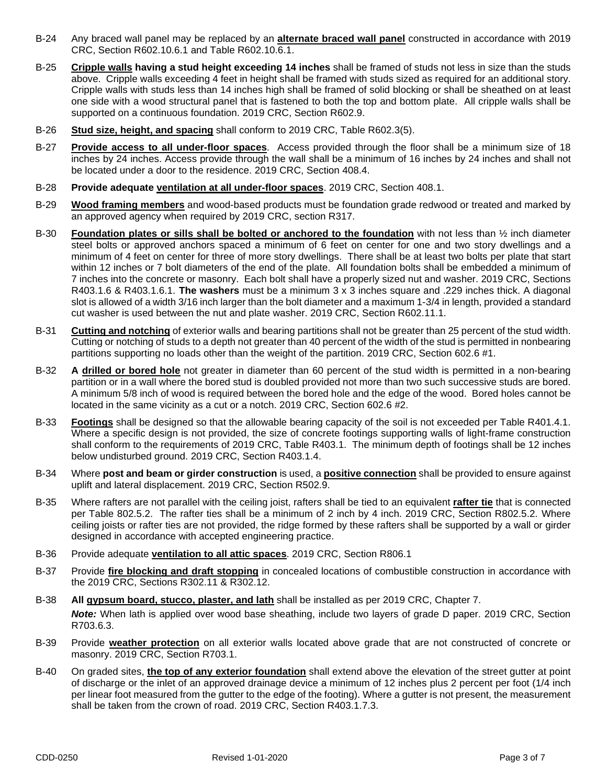- B-24 Any braced wall panel may be replaced by an **alternate braced wall panel** constructed in accordance with 2019 CRC, Section R602.10.6.1 and Table R602.10.6.1.
- B-25 **Cripple walls having a stud height exceeding 14 inches** shall be framed of studs not less in size than the studs above. Cripple walls exceeding 4 feet in height shall be framed with studs sized as required for an additional story. Cripple walls with studs less than 14 inches high shall be framed of solid blocking or shall be sheathed on at least one side with a wood structural panel that is fastened to both the top and bottom plate. All cripple walls shall be supported on a continuous foundation. 2019 CRC, Section R602.9.
- B-26 **Stud size, height, and spacing** shall conform to 2019 CRC, Table R602.3(5).
- B-27 **Provide access to all under-floor spaces**. Access provided through the floor shall be a minimum size of 18 inches by 24 inches. Access provide through the wall shall be a minimum of 16 inches by 24 inches and shall not be located under a door to the residence. 2019 CRC, Section 408.4.
- B-28 **Provide adequate ventilation at all under-floor spaces**. 2019 CRC, Section 408.1.
- B-29 **Wood framing members** and wood-based products must be foundation grade redwood or treated and marked by an approved agency when required by 2019 CRC, section R317.
- B-30 **Foundation plates or sills shall be bolted or anchored to the foundation** with not less than ½ inch diameter steel bolts or approved anchors spaced a minimum of 6 feet on center for one and two story dwellings and a minimum of 4 feet on center for three of more story dwellings. There shall be at least two bolts per plate that start within 12 inches or 7 bolt diameters of the end of the plate. All foundation bolts shall be embedded a minimum of 7 inches into the concrete or masonry. Each bolt shall have a properly sized nut and washer. 2019 CRC, Sections R403.1.6 & R403.1.6.1. **The washers** must be a minimum 3 x 3 inches square and .229 inches thick. A diagonal slot is allowed of a width 3/16 inch larger than the bolt diameter and a maximum 1-3/4 in length, provided a standard cut washer is used between the nut and plate washer. 2019 CRC, Section R602.11.1.
- B-31 **Cutting and notching** of exterior walls and bearing partitions shall not be greater than 25 percent of the stud width. Cutting or notching of studs to a depth not greater than 40 percent of the width of the stud is permitted in nonbearing partitions supporting no loads other than the weight of the partition. 2019 CRC, Section 602.6 #1.
- B-32 **A drilled or bored hole** not greater in diameter than 60 percent of the stud width is permitted in a non-bearing partition or in a wall where the bored stud is doubled provided not more than two such successive studs are bored. A minimum 5/8 inch of wood is required between the bored hole and the edge of the wood. Bored holes cannot be located in the same vicinity as a cut or a notch. 2019 CRC, Section 602.6 #2.
- B-33 **Footings** shall be designed so that the allowable bearing capacity of the soil is not exceeded per Table R401.4.1. Where a specific design is not provided, the size of concrete footings supporting walls of light-frame construction shall conform to the requirements of 2019 CRC, Table R403.1. The minimum depth of footings shall be 12 inches below undisturbed ground. 2019 CRC, Section R403.1.4.
- B-34 Where **post and beam or girder construction** is used, a **positive connection** shall be provided to ensure against uplift and lateral displacement. 2019 CRC, Section R502.9.
- B-35 Where rafters are not parallel with the ceiling joist, rafters shall be tied to an equivalent **rafter tie** that is connected per Table 802.5.2. The rafter ties shall be a minimum of 2 inch by 4 inch. 2019 CRC, Section R802.5.2. Where ceiling joists or rafter ties are not provided, the ridge formed by these rafters shall be supported by a wall or girder designed in accordance with accepted engineering practice.
- B-36 Provide adequate **ventilation to all attic spaces**. 2019 CRC, Section R806.1
- B-37 Provide **fire blocking and draft stopping** in concealed locations of combustible construction in accordance with the 2019 CRC, Sections R302.11 & R302.12.
- B-38 **All gypsum board, stucco, plaster, and lath** shall be installed as per 2019 CRC, Chapter 7. *Note:* When lath is applied over wood base sheathing, include two layers of grade D paper. 2019 CRC, Section R703.6.3.
- B-39 Provide **weather protection** on all exterior walls located above grade that are not constructed of concrete or masonry. 2019 CRC, Section R703.1.
- B-40 On graded sites, **the top of any exterior foundation** shall extend above the elevation of the street gutter at point of discharge or the inlet of an approved drainage device a minimum of 12 inches plus 2 percent per foot (1/4 inch per linear foot measured from the gutter to the edge of the footing). Where a gutter is not present, the measurement shall be taken from the crown of road. 2019 CRC, Section R403.1.7.3.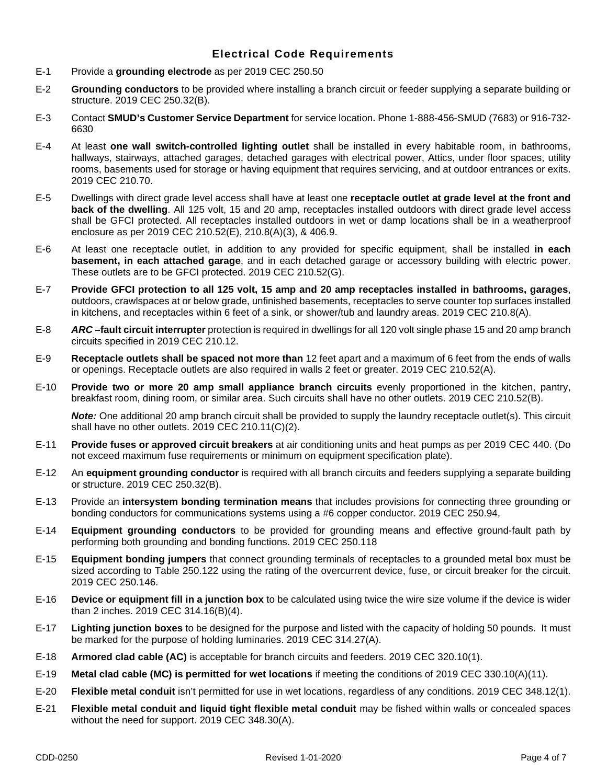## **Electrical Code Requirements**

- E-1 Provide a **grounding electrode** as per 2019 CEC 250.50
- E-2 **Grounding conductors** to be provided where installing a branch circuit or feeder supplying a separate building or structure. 2019 CEC 250.32(B).
- E-3 Contact **SMUD's Customer Service Department** for service location. Phone 1-888-456-SMUD (7683) or 916-732- 6630
- E-4 At least **one wall switch-controlled lighting outlet** shall be installed in every habitable room, in bathrooms, hallways, stairways, attached garages, detached garages with electrical power, Attics, under floor spaces, utility rooms, basements used for storage or having equipment that requires servicing, and at outdoor entrances or exits. 2019 CEC 210.70.
- E-5 Dwellings with direct grade level access shall have at least one **receptacle outlet at grade level at the front and back of the dwelling**. All 125 volt, 15 and 20 amp, receptacles installed outdoors with direct grade level access shall be GFCI protected. All receptacles installed outdoors in wet or damp locations shall be in a weatherproof enclosure as per 2019 CEC 210.52(E), 210.8(A)(3), & 406.9.
- E-6 At least one receptacle outlet, in addition to any provided for specific equipment, shall be installed **in each basement, in each attached garage**, and in each detached garage or accessory building with electric power. These outlets are to be GFCI protected. 2019 CEC 210.52(G).
- E-7 **Provide GFCI protection to all 125 volt, 15 amp and 20 amp receptacles installed in bathrooms, garages**, outdoors, crawlspaces at or below grade, unfinished basements, receptacles to serve counter top surfaces installed in kitchens, and receptacles within 6 feet of a sink, or shower/tub and laundry areas. 2019 CEC 210.8(A).
- E-8 *ARC –***fault circuit interrupter** protection is required in dwellings for all 120 volt single phase 15 and 20 amp branch circuits specified in 2019 CEC 210.12.
- E-9 **Receptacle outlets shall be spaced not more than** 12 feet apart and a maximum of 6 feet from the ends of walls or openings. Receptacle outlets are also required in walls 2 feet or greater. 2019 CEC 210.52(A).
- E-10 **Provide two or more 20 amp small appliance branch circuits** evenly proportioned in the kitchen, pantry, breakfast room, dining room, or similar area. Such circuits shall have no other outlets. 2019 CEC 210.52(B).

*Note:* One additional 20 amp branch circuit shall be provided to supply the laundry receptacle outlet(s). This circuit shall have no other outlets. 2019 CEC 210.11(C)(2).

- E-11 **Provide fuses or approved circuit breakers** at air conditioning units and heat pumps as per 2019 CEC 440. (Do not exceed maximum fuse requirements or minimum on equipment specification plate).
- E-12 An **equipment grounding conductor** is required with all branch circuits and feeders supplying a separate building or structure. 2019 CEC 250.32(B).
- E-13 Provide an **intersystem bonding termination means** that includes provisions for connecting three grounding or bonding conductors for communications systems using a #6 copper conductor. 2019 CEC 250.94,
- E-14 **Equipment grounding conductors** to be provided for grounding means and effective ground-fault path by performing both grounding and bonding functions. 2019 CEC 250.118
- E-15 **Equipment bonding jumpers** that connect grounding terminals of receptacles to a grounded metal box must be sized according to Table 250.122 using the rating of the overcurrent device, fuse, or circuit breaker for the circuit. 2019 CEC 250.146.
- E-16 **Device or equipment fill in a junction box** to be calculated using twice the wire size volume if the device is wider than 2 inches. 2019 CEC 314.16(B)(4).
- E-17 **Lighting junction boxes** to be designed for the purpose and listed with the capacity of holding 50 pounds. It must be marked for the purpose of holding luminaries. 2019 CEC 314.27(A).
- E-18 **Armored clad cable (AC)** is acceptable for branch circuits and feeders. 2019 CEC 320.10(1).
- E-19 **Metal clad cable (MC) is permitted for wet locations** if meeting the conditions of 2019 CEC 330.10(A)(11).
- E-20 **Flexible metal conduit** isn't permitted for use in wet locations, regardless of any conditions. 2019 CEC 348.12(1).
- E-21 **Flexible metal conduit and liquid tight flexible metal conduit** may be fished within walls or concealed spaces without the need for support. 2019 CEC 348.30(A).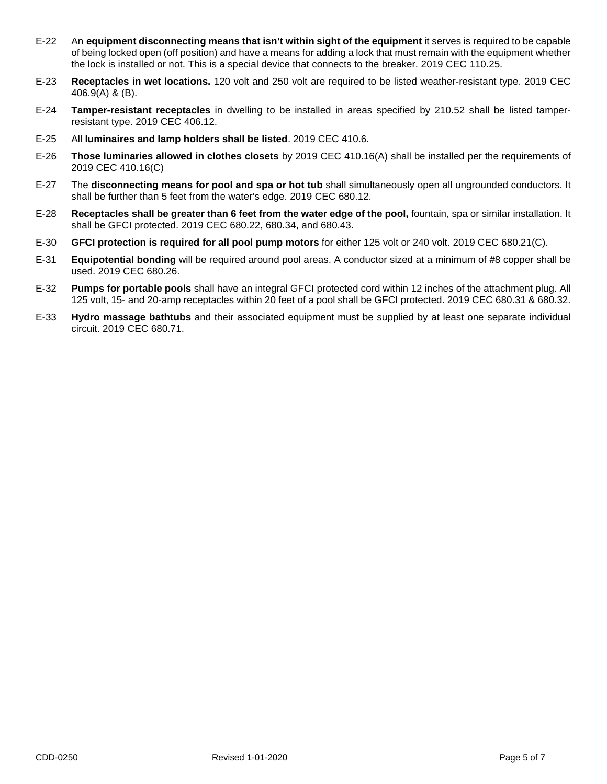- E-22 An **equipment disconnecting means that isn't within sight of the equipment** it serves is required to be capable of being locked open (off position) and have a means for adding a lock that must remain with the equipment whether the lock is installed or not. This is a special device that connects to the breaker. 2019 CEC 110.25.
- E-23 **Receptacles in wet locations.** 120 volt and 250 volt are required to be listed weather-resistant type. 2019 CEC 406.9(A) & (B).
- E-24 **Tamper-resistant receptacles** in dwelling to be installed in areas specified by 210.52 shall be listed tamperresistant type. 2019 CEC 406.12.
- E-25 All **luminaires and lamp holders shall be listed**. 2019 CEC 410.6.
- E-26 **Those luminaries allowed in clothes closets** by 2019 CEC 410.16(A) shall be installed per the requirements of 2019 CEC 410.16(C)
- E-27 The **disconnecting means for pool and spa or hot tub** shall simultaneously open all ungrounded conductors. It shall be further than 5 feet from the water's edge. 2019 CEC 680.12.
- E-28 **Receptacles shall be greater than 6 feet from the water edge of the pool,** fountain, spa or similar installation. It shall be GFCI protected. 2019 CEC 680.22, 680.34, and 680.43.
- E-30 **GFCI protection is required for all pool pump motors** for either 125 volt or 240 volt. 2019 CEC 680.21(C).
- E-31 **Equipotential bonding** will be required around pool areas. A conductor sized at a minimum of #8 copper shall be used. 2019 CEC 680.26.
- E-32 **Pumps for portable pools** shall have an integral GFCI protected cord within 12 inches of the attachment plug. All 125 volt, 15- and 20-amp receptacles within 20 feet of a pool shall be GFCI protected. 2019 CEC 680.31 & 680.32.
- E-33 **Hydro massage bathtubs** and their associated equipment must be supplied by at least one separate individual circuit. 2019 CEC 680.71.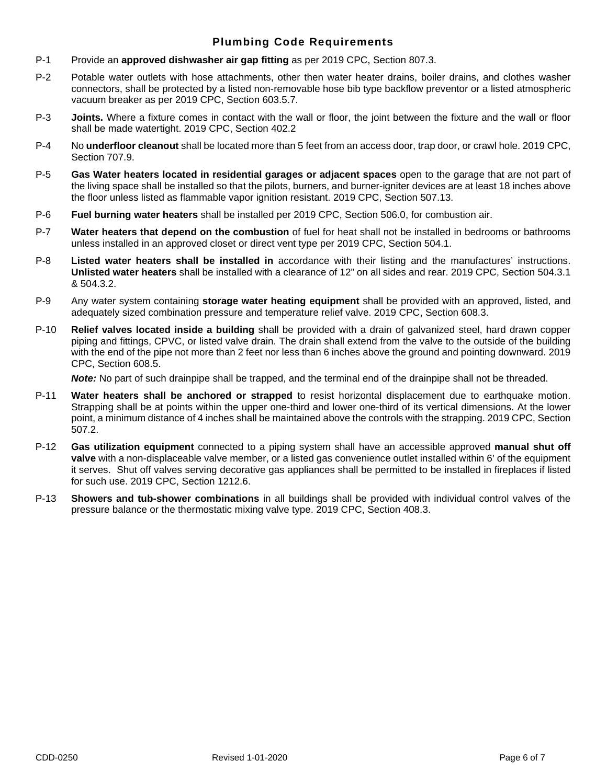### **Plumbing Code Requirements**

- P-1 Provide an **approved dishwasher air gap fitting** as per 2019 CPC, Section 807.3.
- P-2 Potable water outlets with hose attachments, other then water heater drains, boiler drains, and clothes washer connectors, shall be protected by a listed non-removable hose bib type backflow preventor or a listed atmospheric vacuum breaker as per 2019 CPC, Section 603.5.7.
- P-3 **Joints.** Where a fixture comes in contact with the wall or floor, the joint between the fixture and the wall or floor shall be made watertight. 2019 CPC, Section 402.2
- P-4 No **underfloor cleanout** shall be located more than 5 feet from an access door, trap door, or crawl hole. 2019 CPC, Section 707.9.
- P-5 **Gas Water heaters located in residential garages or adjacent spaces** open to the garage that are not part of the living space shall be installed so that the pilots, burners, and burner-igniter devices are at least 18 inches above the floor unless listed as flammable vapor ignition resistant. 2019 CPC, Section 507.13.
- P-6 **Fuel burning water heaters** shall be installed per 2019 CPC, Section 506.0, for combustion air.
- P-7 **Water heaters that depend on the combustion** of fuel for heat shall not be installed in bedrooms or bathrooms unless installed in an approved closet or direct vent type per 2019 CPC, Section 504.1.
- P-8 **Listed water heaters shall be installed in** accordance with their listing and the manufactures' instructions. **Unlisted water heaters** shall be installed with a clearance of 12" on all sides and rear. 2019 CPC, Section 504.3.1 & 504.3.2.
- P-9 Any water system containing **storage water heating equipment** shall be provided with an approved, listed, and adequately sized combination pressure and temperature relief valve. 2019 CPC, Section 608.3.
- P-10 **Relief valves located inside a building** shall be provided with a drain of galvanized steel, hard drawn copper piping and fittings, CPVC, or listed valve drain. The drain shall extend from the valve to the outside of the building with the end of the pipe not more than 2 feet nor less than 6 inches above the ground and pointing downward. 2019 CPC, Section 608.5.

*Note:* No part of such drainpipe shall be trapped, and the terminal end of the drainpipe shall not be threaded.

- P-11 **Water heaters shall be anchored or strapped** to resist horizontal displacement due to earthquake motion. Strapping shall be at points within the upper one-third and lower one-third of its vertical dimensions. At the lower point, a minimum distance of 4 inches shall be maintained above the controls with the strapping. 2019 CPC, Section 507.2.
- P-12 **Gas utilization equipment** connected to a piping system shall have an accessible approved **manual shut off valve** with a non-displaceable valve member, or a listed gas convenience outlet installed within 6' of the equipment it serves. Shut off valves serving decorative gas appliances shall be permitted to be installed in fireplaces if listed for such use. 2019 CPC, Section 1212.6.
- P-13 **Showers and tub-shower combinations** in all buildings shall be provided with individual control valves of the pressure balance or the thermostatic mixing valve type. 2019 CPC, Section 408.3.